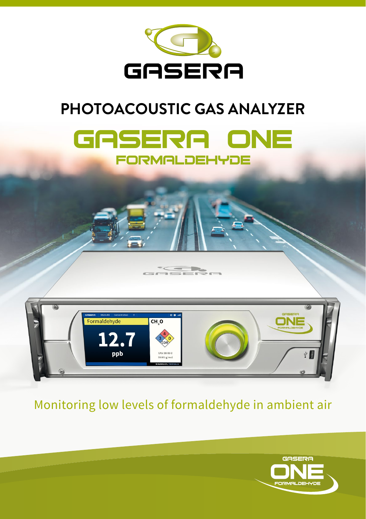

# **PHOTOACOUSTIC GAS ANALYZER**





Monitoring low levels of formaldehyde in ambient air

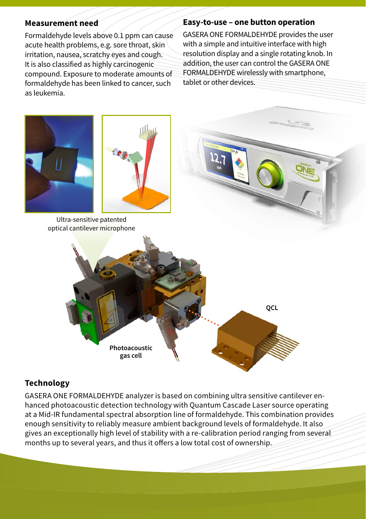#### **Measurement need**

Formaldehyde levels above 0.1 ppm can cause acute health problems, e.g. sore throat, skin irritation, nausea, scratchy eyes and cough. It is also classified as highly carcinogenic compound. Exposure to moderate amounts of formaldehyde has been linked to cancer, such as leukemia.

#### **Easy-to-use – one button operation**

GASERA ONE FORMALDEHYDE provides the user with a simple and intuitive interface with high resolution display and a single rotating knob. In addition, the user can control the GASERA ONE FORMALDEHYDE wirelessly with smartphone, tablet or other devices.



# **Technology**

GASERA ONE FORMALDEHYDE analyzer is based on combining ultra sensitive cantilever enhanced photoacoustic detection technology with Quantum Cascade Laser source operating at a Mid-IR fundamental spectral absorption line of formaldehyde. This combination provides enough sensitivity to reliably measure ambient background levels of formaldehyde. It also gives an exceptionally high level of stability with a re-calibration period ranging from several months up to several years, and thus it offers a low total cost of ownership.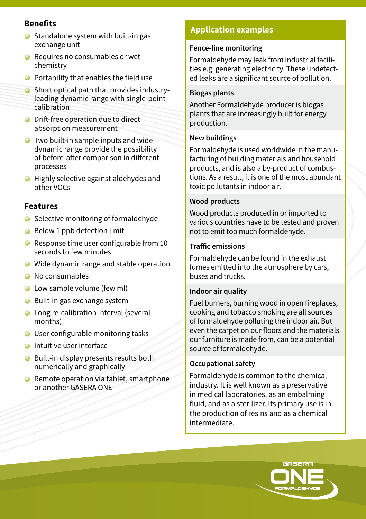# **Benefits**

- Standalone system with built-in gas exchange unit
- **■** Requires no consumables or wet chemistry
- $\bullet$  Portability that enables the field use
- **O** Short optical path that provides industryleading dynamic range with single-point calibration
- **O** Drift-free operation due to direct absorption measurement
- **●** Two built-in sample inputs and wide dynamic range provide the possibility of before-after comparison in different processes
- Highly selective against aldehydes and other VOCs

# **Features**

- $\bullet$  Selective monitoring of formaldehyde
- Below 1 ppb detection limit
- Response time user configurable from 10 seconds to few minutes
- Wide dynamic range and stable operation
- **O** No consumables
- **C** Low sample volume (few ml)
- Built-in gas exchange system
- Long re-calibration interval (several months)
- User configurable monitoring tasks
- **O** Intuitive user interface
- **●** Built-in display presents results both numerically and graphically
- Remote operation via tablet, smartphone or another GASERA ONE

# **Application examples**

#### **Fence-line monitoring**

Formaldehyde may leak from industrial facilities e.g. generating electricity. These undetected leaks are a significant source of pollution.

#### **Biogas plants**

Another Formaldehyde producer is biogas plants that are increasingly built for energy production.

#### **New buildings**

Formaldehyde is used worldwide in the manufacturing of building materials and household products, and is also a by-product of combustions. As a result, it is one of the most abundant toxic pollutants in indoor air.

#### **Wood products**

Wood products produced in or imported to various countries have to be tested and proven not to emit too much formaldehyde.

#### **Traffic emissions**

Formaldehyde can be found in the exhaust fumes emitted into the atmosphere by cars, buses and trucks.

#### **Indoor air quality**

Fuel burners, burning wood in open fireplaces, cooking and tobacco smoking are all sources of formaldehyde polluting the indoor air. But even the carpet on our floors and the materials our furniture is made from, can be a potential source of formaldehyde.

#### **Occupational safety**

Formaldehyde is common to the chemical industry. It is well known as a preservative in medical laboratories, as an embalming fluid, and as a sterilizer. Its primary use is in the production of resins and as a chemical intermediate.